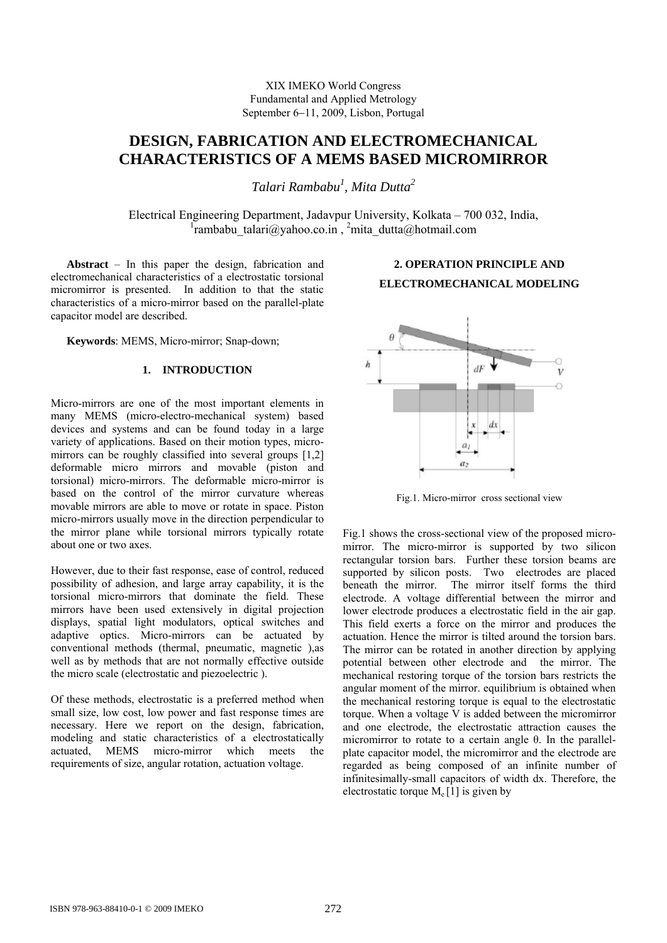XIX IMEKO World Congress Fundamental and Applied Metrology September 6−11, 2009, Lisbon, Portugal

# **DESIGN, FABRICATION AND ELECTROMECHANICAL CHARACTERISTICS OF A MEMS BASED MICROMIRROR**

*Talari Rambabu1 , Mita Dutta2* 

Electrical Engineering Department, Jadavpur University, Kolkata – 700 032, India,  $\frac{1}{2}$ rambabu talari@yahoo.co.in, <sup>2</sup>mita dutta@hotmail.com

**Abstract** – In this paper the design, fabrication and electromechanical characteristics of a electrostatic torsional micromirror is presented. In addition to that the static characteristics of a micro-mirror based on the parallel-plate capacitor model are described.

**Keywords**: MEMS, Micro-mirror; Snap-down;

# **1. INTRODUCTION**

Micro-mirrors are one of the most important elements in many MEMS (micro-electro-mechanical system) based devices and systems and can be found today in a large variety of applications. Based on their motion types, micromirrors can be roughly classified into several groups [1,2] deformable micro mirrors and movable (piston and torsional) micro-mirrors. The deformable micro-mirror is based on the control of the mirror curvature whereas movable mirrors are able to move or rotate in space. Piston micro-mirrors usually move in the direction perpendicular to the mirror plane while torsional mirrors typically rotate about one or two axes.

However, due to their fast response, ease of control, reduced possibility of adhesion, and large array capability, it is the torsional micro-mirrors that dominate the field. These mirrors have been used extensively in digital projection displays, spatial light modulators, optical switches and adaptive optics. Micro-mirrors can be actuated by conventional methods (thermal, pneumatic, magnetic ),as well as by methods that are not normally effective outside the micro scale (electrostatic and piezoelectric ).

Of these methods, electrostatic is a preferred method when small size, low cost, low power and fast response times are necessary. Here we report on the design, fabrication, modeling and static characteristics of a electrostatically actuated, MEMS micro-mirror which meets the requirements of size, angular rotation, actuation voltage.



**2. OPERATION PRINCIPLE AND ELECTROMECHANICAL MODELING** 

Fig.1. Micro-mirror cross sectional view

Fig.1 shows the cross-sectional view of the proposed micromirror. The micro-mirror is supported by two silicon rectangular torsion bars. Further these torsion beams are supported by silicon posts. Two electrodes are placed beneath the mirror. The mirror itself forms the third electrode. A voltage differential between the mirror and lower electrode produces a electrostatic field in the air gap. This field exerts a force on the mirror and produces the actuation. Hence the mirror is tilted around the torsion bars. The mirror can be rotated in another direction by applying potential between other electrode and the mirror. The mechanical restoring torque of the torsion bars restricts the angular moment of the mirror. equilibrium is obtained when the mechanical restoring torque is equal to the electrostatic torque. When a voltage V is added between the micromirror and one electrode, the electrostatic attraction causes the micromirror to rotate to a certain angle θ. In the parallelplate capacitor model, the micromirror and the electrode are regarded as being composed of an infinite number of infinitesimally-small capacitors of width dx. Therefore, the electrostatic torque  $M_e[1]$  is given by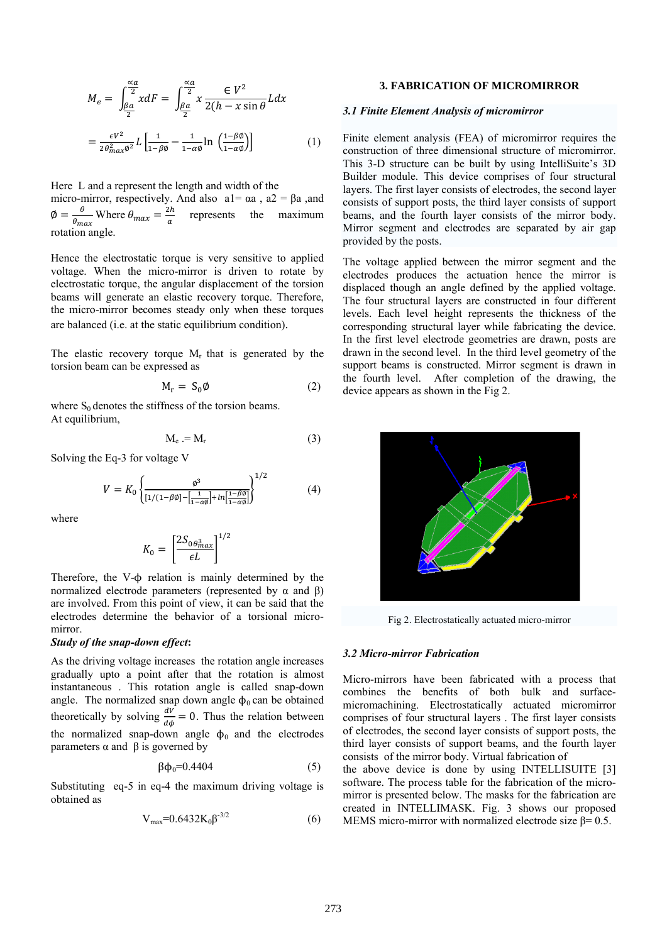$$
M_e = \int_{\frac{\beta a}{2}}^{\frac{\alpha a}{2}} x dF = \int_{\frac{\beta a}{2}}^{\frac{\alpha a}{2}} x \frac{\epsilon V^2}{2(h - x \sin \theta)} L dx
$$

$$
= \frac{\epsilon V^2}{2 \theta_{max}^2 \theta^2} L \left[ \frac{1}{1 - \beta \theta} - \frac{1}{1 - \alpha \theta} \ln \left( \frac{1 - \beta \theta}{1 - \alpha \theta} \right) \right]
$$
(1)

Here L and a represent the length and width of the micro-mirror, respectively. And also  $a1 = \alpha a$ ,  $a2 = \beta a$ , and  $\phi = \frac{\theta}{\theta_{max}}$  Where  $\theta_{max} = \frac{2h}{a}$  represents the maximum rotation angle.

Hence the electrostatic torque is very sensitive to applied voltage. When the micro-mirror is driven to rotate by electrostatic torque, the angular displacement of the torsion beams will generate an elastic recovery torque. Therefore, the micro-mirror becomes steady only when these torques are balanced (i.e. at the static equilibrium condition).

The elastic recovery torque  $M_r$  that is generated by the torsion beam can be expressed as

$$
M_r = S_0 \emptyset
$$
 (2)

where  $S_0$  denotes the stiffness of the torsion beams. At equilibrium,

$$
M_e = M_r \tag{3}
$$

Solving the Eq-3 for voltage V

$$
V = K_0 \left\{ \frac{\varnothing^3}{\left[1/(1-\beta\varnothing) - \left[\frac{1}{1-\alpha\varnothing}\right] + ln\left[\frac{1-\beta\varnothing}{1-\alpha\varnothing}\right]}\right\}^{1/2} \tag{4}
$$

where

$$
K_0 = \left[\frac{2S_{0\theta_{max}^3}}{\epsilon L}\right]^{1/2}
$$

Therefore, the  $V$ - $\phi$  relation is mainly determined by the normalized electrode parameters (represented by α and β) are involved. From this point of view, it can be said that the electrodes determine the behavior of a torsional micromirror.

# *Study of the snap-down effect***:**

As the driving voltage increases the rotation angle increases gradually upto a point after that the rotation is almost instantaneous . This rotation angle is called snap-down angle. The normalized snap down angle  $\phi_0$  can be obtained theoretically by solving  $\frac{dV}{d\phi} = 0$ . Thus the relation between the normalized snap-down angle  $\phi_0$  and the electrodes parameters  $α$  and  $β$  is governed by

$$
\beta \phi_0 = 0.4404 \tag{5}
$$

Substituting eq-5 in eq-4 the maximum driving voltage is obtained as

$$
V_{\text{max}} = 0.6432 K_0 \beta^{-3/2} \tag{6}
$$

# **3. FABRICATION OF MICROMIRROR**

### *3.1 Finite Element Analysis of micromirror*

Finite element analysis (FEA) of micromirror requires the construction of three dimensional structure of micromirror. This 3-D structure can be built by using IntelliSuite's 3D Builder module. This device comprises of four structural layers. The first layer consists of electrodes, the second layer consists of support posts, the third layer consists of support beams, and the fourth layer consists of the mirror body. Mirror segment and electrodes are separated by air gap provided by the posts.

The voltage applied between the mirror segment and the electrodes produces the actuation hence the mirror is displaced though an angle defined by the applied voltage. The four structural layers are constructed in four different levels. Each level height represents the thickness of the corresponding structural layer while fabricating the device. In the first level electrode geometries are drawn, posts are drawn in the second level. In the third level geometry of the support beams is constructed. Mirror segment is drawn in the fourth level. After completion of the drawing, the device appears as shown in the Fig 2.



Fig 2. Electrostatically actuated micro-mirror

# *3.2 Micro-mirror Fabrication*

Micro-mirrors have been fabricated with a process that combines the benefits of both bulk and surfacemicromachining. Electrostatically actuated micromirror comprises of four structural layers . The first layer consists of electrodes, the second layer consists of support posts, the third layer consists of support beams, and the fourth layer consists of the mirror body. Virtual fabrication of

the above device is done by using INTELLISUITE [3] software. The process table for the fabrication of the micromirror is presented below. The masks for the fabrication are created in INTELLIMASK. Fig. 3 shows our proposed MEMS micro-mirror with normalized electrode size  $\beta$ = 0.5.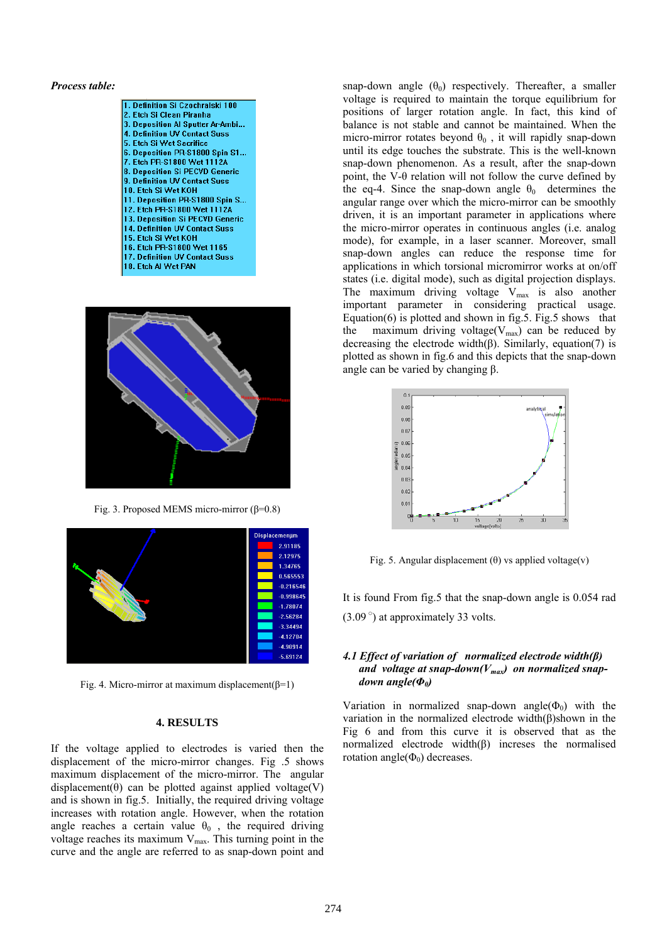#### *Process table:*





Fig. 3. Proposed MEMS micro-mirror (β=0.8)



Fig. 4. Micro-mirror at maximum displacement( $\beta$ =1)

#### **4. RESULTS**

If the voltage applied to electrodes is varied then the displacement of the micro-mirror changes. Fig .5 shows maximum displacement of the micro-mirror. The angular displacement( $\theta$ ) can be plotted against applied voltage(V) and is shown in fig.5. Initially, the required driving voltage increases with rotation angle. However, when the rotation angle reaches a certain value  $\theta_0$ , the required driving voltage reaches its maximum  $V_{\text{max}}$ . This turning point in the curve and the angle are referred to as snap-down point and snap-down angle  $(\theta_0)$  respectively. Thereafter, a smaller voltage is required to maintain the torque equilibrium for positions of larger rotation angle. In fact, this kind of balance is not stable and cannot be maintained. When the micro-mirror rotates beyond  $\theta_0$ , it will rapidly snap-down until its edge touches the substrate. This is the well-known snap-down phenomenon. As a result, after the snap-down point, the V-θ relation will not follow the curve defined by the eq-4. Since the snap-down angle  $\theta_0$  determines the angular range over which the micro-mirror can be smoothly driven, it is an important parameter in applications where the micro-mirror operates in continuous angles (i.e. analog mode), for example, in a laser scanner. Moreover, small snap-down angles can reduce the response time for applications in which torsional micromirror works at on/off states (i.e. digital mode), such as digital projection displays. The maximum driving voltage  $V_{\text{max}}$  is also another important parameter in considering practical usage. Equation(6) is plotted and shown in fig.5. Fig.5 shows that the maximum driving voltage( $V_{\text{max}}$ ) can be reduced by decreasing the electrode width $(\beta)$ . Similarly, equation(7) is plotted as shown in fig.6 and this depicts that the snap-down angle can be varied by changing  $β$ .



Fig. 5. Angular displacement  $(\theta)$  vs applied voltage(v)

It is found From fig.5 that the snap-down angle is 0.054 rad  $(3.09^{\circ})$  at approximately 33 volts.

### *4.1 Effect of variation of normalized electrode width(β)*  and voltage at snap-down( $V_{max}$ ) on normalized snap*down angle(Φ0)*

Variation in normalized snap-down angle( $\Phi_0$ ) with the variation in the normalized electrode width(β)shown in the Fig 6 and from this curve it is observed that as the normalized electrode width(β) increses the normalised rotation angle $(\Phi_0)$  decreases.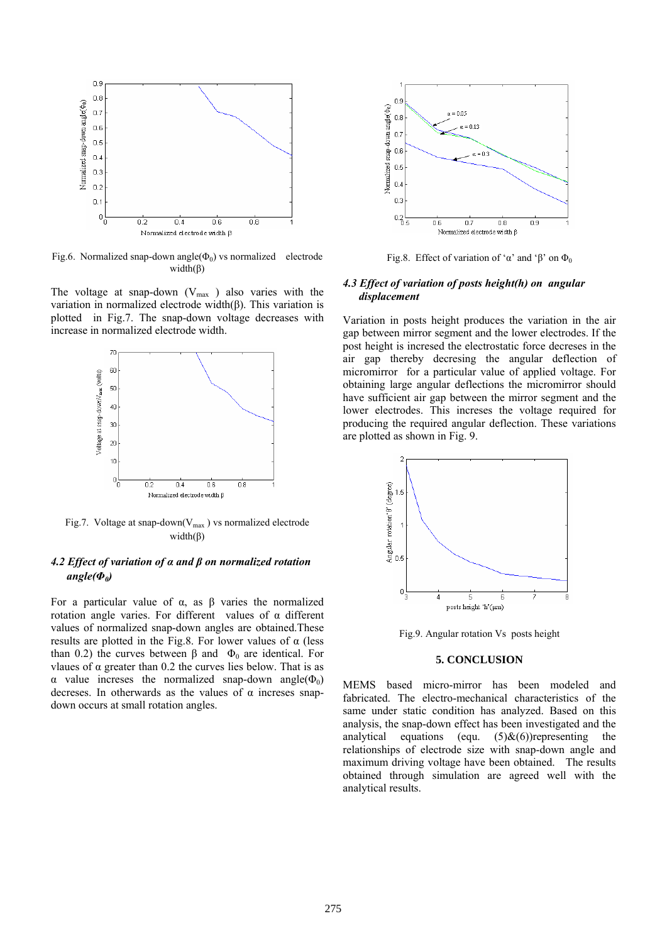

Fig.6. Normalized snap-down angle( $\Phi_0$ ) vs normalized electrode width(β)

The voltage at snap-down  $(V_{\text{max}})$  also varies with the variation in normalized electrode width(β). This variation is plotted in Fig.7. The snap-down voltage decreases with increase in normalized electrode width.



Fig.7. Voltage at snap-down( $V_{max}$ ) vs normalized electrode width $(\beta)$ 

# *4.2 Effect of variation of α and β on normalized rotation angle(Φ0)*

For a particular value of α, as β varies the normalized rotation angle varies. For different values of α different values of normalized snap-down angles are obtained.These results are plotted in the Fig.8. For lower values of  $\alpha$  (less than 0.2) the curves between β and  $Φ_0$  are identical. For vlaues of α greater than 0.2 the curves lies below. That is as α value incresse the normalized snap-down angle( $Φ_0$ ) decreses. In otherwards as the values of  $\alpha$  increses snapdown occurs at small rotation angles.



Fig.8. Effect of variation of 'α' and 'β' on  $\Phi_0$ 

### *4.3 Effect of variation of posts height(h) on angular displacement*

Variation in posts height produces the variation in the air gap between mirror segment and the lower electrodes. If the post height is incresed the electrostatic force decreses in the air gap thereby decresing the angular deflection of micromirror for a particular value of applied voltage. For obtaining large angular deflections the micromirror should have sufficient air gap between the mirror segment and the lower electrodes. This increses the voltage required for producing the required angular deflection. These variations are plotted as shown in Fig. 9.



Fig.9. Angular rotation Vs posts height

# **5. CONCLUSION**

MEMS based micro-mirror has been modeled and fabricated. The electro-mechanical characteristics of the same under static condition has analyzed. Based on this analysis, the snap-down effect has been investigated and the analytical equations (equ.  $(5)$ & $(6)$ )representing the relationships of electrode size with snap-down angle and maximum driving voltage have been obtained. The results obtained through simulation are agreed well with the analytical results.